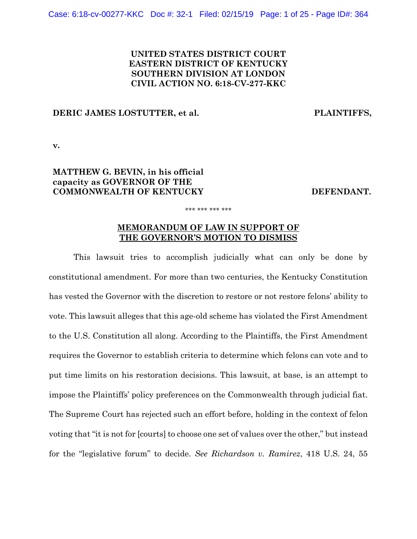# **UNITED STATES DISTRICT COURT EASTERN DISTRICT OF KENTUCKY SOUTHERN DIVISION AT LONDON CIVIL ACTION NO. 6:18-CV-277-KKC**

## **DERIC JAMES LOSTUTTER, et al. PLAINTIFFS,**

**v.**

# **MATTHEW G. BEVIN, in his official capacity as GOVERNOR OF THE COMMONWEALTH OF KENTUCKY DEFENDANT.**

# **MEMORANDUM OF LAW IN SUPPORT OF THE GOVERNOR'S MOTION TO DISMISS**

\*\*\* \*\*\* \*\*\* \*\*\*

This lawsuit tries to accomplish judicially what can only be done by constitutional amendment. For more than two centuries, the Kentucky Constitution has vested the Governor with the discretion to restore or not restore felons' ability to vote. This lawsuit alleges that this age-old scheme has violated the First Amendment to the U.S. Constitution all along. According to the Plaintiffs, the First Amendment requires the Governor to establish criteria to determine which felons can vote and to put time limits on his restoration decisions. This lawsuit, at base, is an attempt to impose the Plaintiffs' policy preferences on the Commonwealth through judicial fiat. The Supreme Court has rejected such an effort before, holding in the context of felon voting that "it is not for [courts] to choose one set of values over the other," but instead for the "legislative forum" to decide. *See Richardson v. Ramirez*, 418 U.S. 24, 55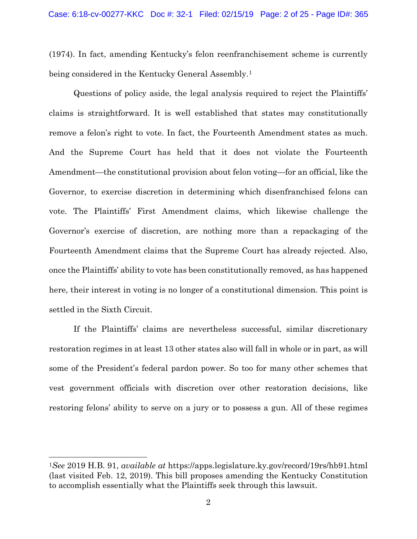(1974). In fact, amending Kentucky's felon reenfranchisement scheme is currently being considered in the Kentucky General Assembly.<sup>[1](#page-1-0)</sup>

Questions of policy aside, the legal analysis required to reject the Plaintiffs' claims is straightforward. It is well established that states may constitutionally remove a felon's right to vote. In fact, the Fourteenth Amendment states as much. And the Supreme Court has held that it does not violate the Fourteenth Amendment—the constitutional provision about felon voting—for an official, like the Governor, to exercise discretion in determining which disenfranchised felons can vote. The Plaintiffs' First Amendment claims, which likewise challenge the Governor's exercise of discretion, are nothing more than a repackaging of the Fourteenth Amendment claims that the Supreme Court has already rejected. Also, once the Plaintiffs' ability to vote has been constitutionally removed, as has happened here, their interest in voting is no longer of a constitutional dimension. This point is settled in the Sixth Circuit.

If the Plaintiffs' claims are nevertheless successful, similar discretionary restoration regimes in at least 13 other states also will fall in whole or in part, as will some of the President's federal pardon power. So too for many other schemes that vest government officials with discretion over other restoration decisions, like restoring felons' ability to serve on a jury or to possess a gun. All of these regimes

<span id="page-1-0"></span><sup>1</sup>*See* 2019 H.B. 91, *available at* https://apps.legislature.ky.gov/record/19rs/hb91.html (last visited Feb. 12, 2019). This bill proposes amending the Kentucky Constitution to accomplish essentially what the Plaintiffs seek through this lawsuit.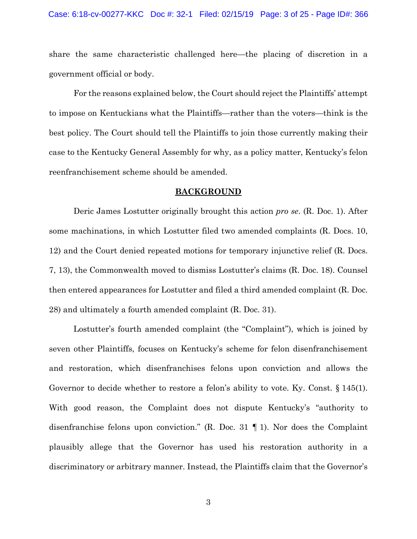#### Case: 6:18-cv-00277-KKC Doc #: 32-1 Filed: 02/15/19 Page: 3 of 25 - Page ID#: 366

share the same characteristic challenged here—the placing of discretion in a government official or body.

For the reasons explained below, the Court should reject the Plaintiffs' attempt to impose on Kentuckians what the Plaintiffs—rather than the voters—think is the best policy. The Court should tell the Plaintiffs to join those currently making their case to the Kentucky General Assembly for why, as a policy matter, Kentucky's felon reenfranchisement scheme should be amended.

## **BACKGROUND**

Deric James Lostutter originally brought this action *pro se*. (R. Doc. 1). After some machinations, in which Lostutter filed two amended complaints (R. Docs. 10, 12) and the Court denied repeated motions for temporary injunctive relief (R. Docs. 7, 13), the Commonwealth moved to dismiss Lostutter's claims (R. Doc. 18). Counsel then entered appearances for Lostutter and filed a third amended complaint (R. Doc. 28) and ultimately a fourth amended complaint (R. Doc. 31).

Lostutter's fourth amended complaint (the "Complaint"), which is joined by seven other Plaintiffs, focuses on Kentucky's scheme for felon disenfranchisement and restoration, which disenfranchises felons upon conviction and allows the Governor to decide whether to restore a felon's ability to vote. Ky. Const. § 145(1). With good reason, the Complaint does not dispute Kentucky's "authority to disenfranchise felons upon conviction." (R. Doc. 31 ¶ 1). Nor does the Complaint plausibly allege that the Governor has used his restoration authority in a discriminatory or arbitrary manner. Instead, the Plaintiffs claim that the Governor's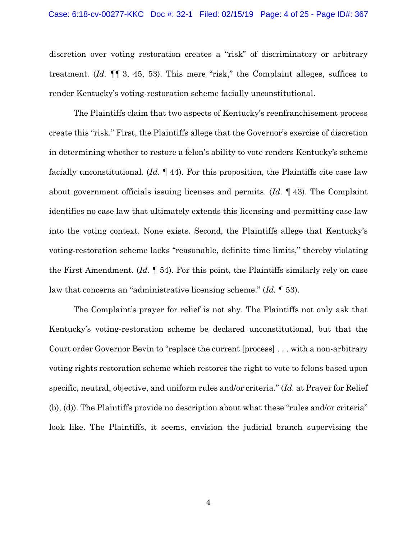### Case: 6:18-cv-00277-KKC Doc #: 32-1 Filed: 02/15/19 Page: 4 of 25 - Page ID#: 367

discretion over voting restoration creates a "risk" of discriminatory or arbitrary treatment. (*Id.* ¶¶ 3, 45, 53). This mere "risk," the Complaint alleges, suffices to render Kentucky's voting-restoration scheme facially unconstitutional.

The Plaintiffs claim that two aspects of Kentucky's reenfranchisement process create this "risk." First, the Plaintiffs allege that the Governor's exercise of discretion in determining whether to restore a felon's ability to vote renders Kentucky's scheme facially unconstitutional. (*Id.* ¶ 44). For this proposition, the Plaintiffs cite case law about government officials issuing licenses and permits. (*Id.* ¶ 43). The Complaint identifies no case law that ultimately extends this licensing-and-permitting case law into the voting context. None exists. Second, the Plaintiffs allege that Kentucky's voting-restoration scheme lacks "reasonable, definite time limits," thereby violating the First Amendment. (*Id.* ¶ 54). For this point, the Plaintiffs similarly rely on case law that concerns an "administrative licensing scheme." (*Id.* ¶ 53).

The Complaint's prayer for relief is not shy. The Plaintiffs not only ask that Kentucky's voting-restoration scheme be declared unconstitutional, but that the Court order Governor Bevin to "replace the current [process] . . . with a non-arbitrary voting rights restoration scheme which restores the right to vote to felons based upon specific, neutral, objective, and uniform rules and/or criteria." (*Id.* at Prayer for Relief (b), (d)). The Plaintiffs provide no description about what these "rules and/or criteria" look like. The Plaintiffs, it seems, envision the judicial branch supervising the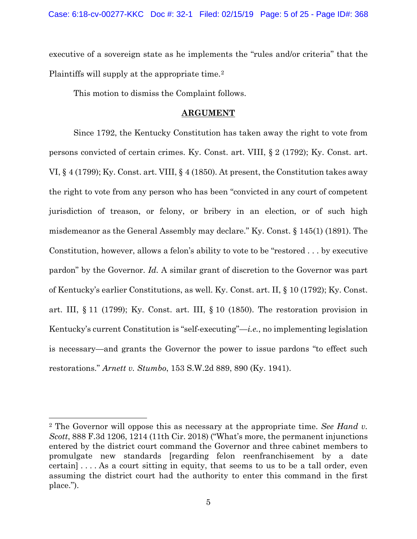executive of a sovereign state as he implements the "rules and/or criteria" that the Plaintiffs will supply at the appropriate time.<sup>[2](#page-4-0)</sup>

This motion to dismiss the Complaint follows.

## **ARGUMENT**

Since 1792, the Kentucky Constitution has taken away the right to vote from persons convicted of certain crimes. Ky. Const. art. VIII, § 2 (1792); Ky. Const. art. VI, § 4 (1799); Ky. Const. art. VIII, § 4 (1850). At present, the Constitution takes away the right to vote from any person who has been "convicted in any court of competent jurisdiction of treason, or felony, or bribery in an election, or of such high misdemeanor as the General Assembly may declare." Ky. Const. § 145(1) (1891). The Constitution, however, allows a felon's ability to vote to be "restored . . . by executive pardon" by the Governor. *Id.* A similar grant of discretion to the Governor was part of Kentucky's earlier Constitutions, as well. Ky. Const. art. II, § 10 (1792); Ky. Const. art. III, § 11 (1799); Ky. Const. art. III, § 10 (1850). The restoration provision in Kentucky's current Constitution is "self-executing"—*i.e.*, no implementing legislation is necessary—and grants the Governor the power to issue pardons "to effect such restorations." *Arnett v. Stumbo*, 153 S.W.2d 889, 890 (Ky. 1941).

<span id="page-4-0"></span><sup>2</sup> The Governor will oppose this as necessary at the appropriate time. *See Hand v. Scott*, 888 F.3d 1206, 1214 (11th Cir. 2018) ("What's more, the permanent injunctions entered by the district court command the Governor and three cabinet members to promulgate new standards [regarding felon reenfranchisement by a date certain] . . . . As a court sitting in equity, that seems to us to be a tall order, even assuming the district court had the authority to enter this command in the first place.").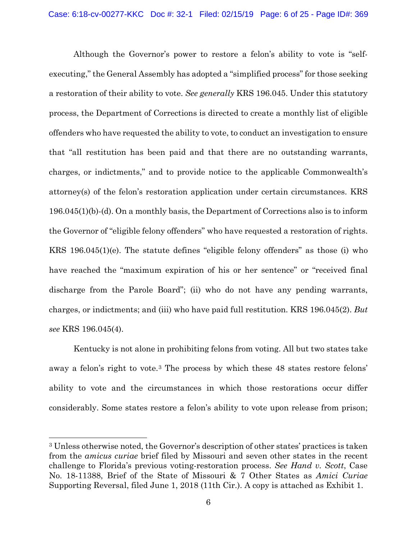Although the Governor's power to restore a felon's ability to vote is "selfexecuting," the General Assembly has adopted a "simplified process" for those seeking a restoration of their ability to vote. *See generally* KRS 196.045. Under this statutory process, the Department of Corrections is directed to create a monthly list of eligible offenders who have requested the ability to vote, to conduct an investigation to ensure that "all restitution has been paid and that there are no outstanding warrants, charges, or indictments," and to provide notice to the applicable Commonwealth's attorney(s) of the felon's restoration application under certain circumstances. KRS 196.045(1)(b)-(d). On a monthly basis, the Department of Corrections also is to inform the Governor of "eligible felony offenders" who have requested a restoration of rights. KRS 196.045(1)(e). The statute defines "eligible felony offenders" as those (i) who have reached the "maximum expiration of his or her sentence" or "received final discharge from the Parole Board"; (ii) who do not have any pending warrants, charges, or indictments; and (iii) who have paid full restitution. KRS 196.045(2). *But see* KRS 196.045(4).

Kentucky is not alone in prohibiting felons from voting. All but two states take away a felon's right to vote.[3](#page-5-0) The process by which these 48 states restore felons' ability to vote and the circumstances in which those restorations occur differ considerably. Some states restore a felon's ability to vote upon release from prison;

<span id="page-5-0"></span><sup>3</sup> Unless otherwise noted, the Governor's description of other states' practices is taken from the *amicus curiae* brief filed by Missouri and seven other states in the recent challenge to Florida's previous voting-restoration process. *See Hand v. Scott*, Case No. 18-11388, Brief of the State of Missouri & 7 Other States as *Amici Curiae*  Supporting Reversal, filed June 1, 2018 (11th Cir.). A copy is attached as Exhibit 1.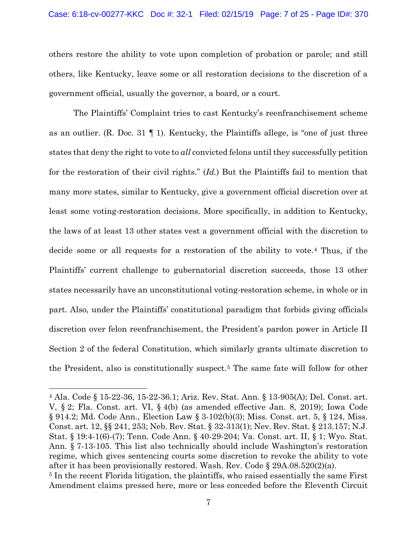#### Case: 6:18-cv-00277-KKC Doc #: 32-1 Filed: 02/15/19 Page: 7 of 25 - Page ID#: 370

others restore the ability to vote upon completion of probation or parole; and still others, like Kentucky, leave some or all restoration decisions to the discretion of a government official, usually the governor, a board, or a court.

The Plaintiffs' Complaint tries to cast Kentucky's reenfranchisement scheme as an outlier. (R. Doc. 31  $\P$  1). Kentucky, the Plaintiffs allege, is "one of just three states that deny the right to vote to *all* convicted felons until they successfully petition for the restoration of their civil rights." (*Id.*) But the Plaintiffs fail to mention that many more states, similar to Kentucky, give a government official discretion over at least some voting-restoration decisions. More specifically, in addition to Kentucky, the laws of at least 13 other states vest a government official with the discretion to decide some or all requests for a restoration of the ability to vote.[4](#page-6-0) Thus, if the Plaintiffs' current challenge to gubernatorial discretion succeeds, those 13 other states necessarily have an unconstitutional voting-restoration scheme, in whole or in part. Also, under the Plaintiffs' constitutional paradigm that forbids giving officials discretion over felon reenfranchisement, the President's pardon power in Article II Section 2 of the federal Constitution, which similarly grants ultimate discretion to the President, also is constitutionally suspect.[5](#page-6-1) The same fate will follow for other

<span id="page-6-1"></span><span id="page-6-0"></span><sup>4</sup> Ala. Code § 15-22-36, 15-22-36.1; Ariz. Rev. Stat. Ann. § 13-905(A); Del. Const. art. V, § 2; Fla. Const. art. VI, § 4(b) (as amended effective Jan. 8, 2019); Iowa Code § 914.2; Md. Code Ann., Election Law § 3-102(b)(3); Miss. Const. art. 5, § 124, Miss. Const. art. 12, §§ 241, 253; Neb. Rev. Stat. § 32-313(1); Nev. Rev. Stat. § 213.157; N.J. Stat. § 19:4-1(6)-(7); Tenn. Code Ann. § 40-29-204; Va. Const. art. II, § 1; Wyo. Stat. Ann. § 7-13-105. This list also technically should include Washington's restoration regime, which gives sentencing courts some discretion to revoke the ability to vote after it has been provisionally restored. Wash. Rev. Code  $\S 29A.08.520(2)(a)$ . <sup>5</sup> In the recent Florida litigation, the plaintiffs, who raised essentially the same First Amendment claims pressed here, more or less conceded before the Eleventh Circuit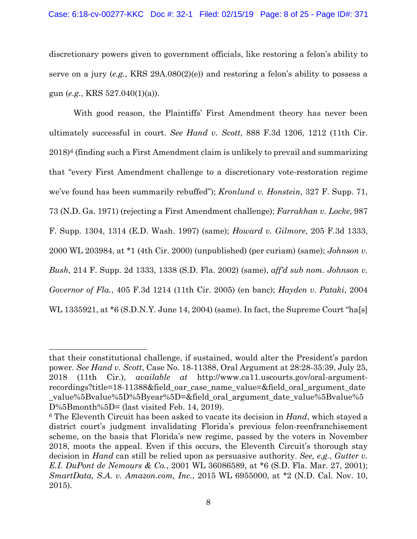## Case: 6:18-cv-00277-KKC Doc #: 32-1 Filed: 02/15/19 Page: 8 of 25 - Page ID#: 371

discretionary powers given to government officials, like restoring a felon's ability to serve on a jury (*e.g.*, KRS 29A.080(2)(e)) and restoring a felon's ability to possess a gun (*e.g.*, KRS 527.040(1)(a)).

With good reason, the Plaintiffs' First Amendment theory has never been ultimately successful in court. *See Hand v. Scott*, 888 F.3d 1206, 1212 (11th Cir.  $2018$ <sup>[6](#page-7-0)</sup> (finding such a First Amendment claim is unlikely to prevail and summarizing that "every First Amendment challenge to a discretionary vote-restoration regime we've found has been summarily rebuffed"); *Kronlund v. Honstein*, 327 F. Supp. 71, 73 (N.D. Ga. 1971) (rejecting a First Amendment challenge); *Farrakhan v. Locke*, 987 F. Supp. 1304, 1314 (E.D. Wash. 1997) (same); *Howard v. Gilmore*, 205 F.3d 1333, 2000 WL 203984, at \*1 (4th Cir. 2000) (unpublished) (per curiam) (same); *Johnson v. Bush*, 214 F. Supp. 2d 1333, 1338 (S.D. Fla. 2002) (same), *aff'd sub nom. Johnson v. Governor of Fla.*, 405 F.3d 1214 (11th Cir. 2005) (en banc); *Hayden v. Pataki*, 2004 WL 1335921, at \*6 (S.D.N.Y. June 14, 2004) (same). In fact, the Supreme Court "ha[s]

that their constitutional challenge, if sustained, would alter the President's pardon power. *See Hand v. Scott*, Case No. 18-11388, Oral Argument at 28:28-35:39, July 25, 2018 (11th Cir.), *available at* http://www.ca11.uscourts.gov/oral-argumentrecordings?title=18-11388&field\_oar\_case\_name\_value=&field\_oral\_argument\_date value%5Bvalue%5D%5Byear%5D=&field oral argument date value%5Bvalue%5 D%5Bmonth%5D= (last visited Feb. 14, 2019).

<span id="page-7-0"></span><sup>6</sup> The Eleventh Circuit has been asked to vacate its decision in *Hand*, which stayed a district court's judgment invalidating Florida's previous felon-reenfranchisement scheme, on the basis that Florida's new regime, passed by the voters in November 2018, moots the appeal. Even if this occurs, the Eleventh Circuit's thorough stay decision in *Hand* can still be relied upon as persuasive authority. *See, e.g.*, *Gutter v. E.I. DuPont de Nemours & Co.*, 2001 WL 36086589, at \*6 (S.D. Fla. Mar. 27, 2001); *SmartData, S.A. v. Amazon.com, Inc.*, 2015 WL 6955000, at \*2 (N.D. Cal. Nov. 10, 2015).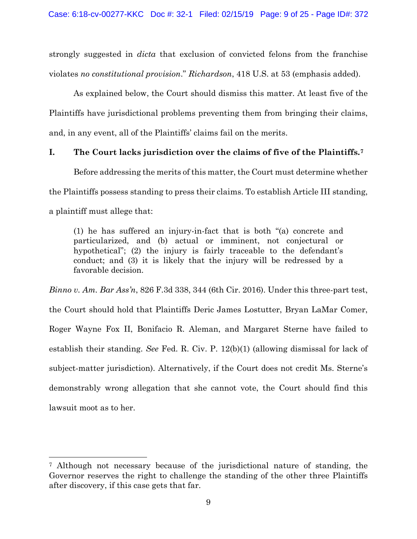strongly suggested in *dicta* that exclusion of convicted felons from the franchise violates *no constitutional provision*." *Richardson*, 418 U.S. at 53 (emphasis added).

As explained below, the Court should dismiss this matter. At least five of the Plaintiffs have jurisdictional problems preventing them from bringing their claims, and, in any event, all of the Plaintiffs' claims fail on the merits.

# **I. The Court lacks jurisdiction over the claims of five of the Plaintiffs.[7](#page-8-0)**

Before addressing the merits of this matter, the Court must determine whether the Plaintiffs possess standing to press their claims. To establish Article III standing, a plaintiff must allege that:

(1) he has suffered an injury-in-fact that is both "(a) concrete and particularized, and (b) actual or imminent, not conjectural or hypothetical"; (2) the injury is fairly traceable to the defendant's conduct; and (3) it is likely that the injury will be redressed by a favorable decision.

*Binno v. Am. Bar Ass'n*, 826 F.3d 338, 344 (6th Cir. 2016). Under this three-part test, the Court should hold that Plaintiffs Deric James Lostutter, Bryan LaMar Comer, Roger Wayne Fox II, Bonifacio R. Aleman, and Margaret Sterne have failed to establish their standing. *See* Fed. R. Civ. P. 12(b)(1) (allowing dismissal for lack of subject-matter jurisdiction). Alternatively, if the Court does not credit Ms. Sterne's demonstrably wrong allegation that she cannot vote, the Court should find this lawsuit moot as to her.

<span id="page-8-0"></span><sup>7</sup> Although not necessary because of the jurisdictional nature of standing, the Governor reserves the right to challenge the standing of the other three Plaintiffs after discovery, if this case gets that far.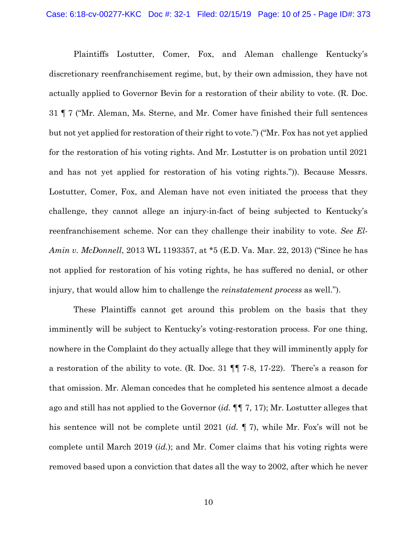Plaintiffs Lostutter, Comer, Fox, and Aleman challenge Kentucky's discretionary reenfranchisement regime, but, by their own admission, they have not actually applied to Governor Bevin for a restoration of their ability to vote. (R. Doc. 31 ¶ 7 ("Mr. Aleman, Ms. Sterne, and Mr. Comer have finished their full sentences but not yet applied for restoration of their right to vote.") ("Mr. Fox has not yet applied for the restoration of his voting rights. And Mr. Lostutter is on probation until 2021 and has not yet applied for restoration of his voting rights.")). Because Messrs. Lostutter, Comer, Fox, and Aleman have not even initiated the process that they challenge, they cannot allege an injury-in-fact of being subjected to Kentucky's reenfranchisement scheme. Nor can they challenge their inability to vote. *See El-Amin v. McDonnell*, 2013 WL 1193357, at \*5 (E.D. Va. Mar. 22, 2013) ("Since he has not applied for restoration of his voting rights, he has suffered no denial, or other injury, that would allow him to challenge the *reinstatement process* as well.").

These Plaintiffs cannot get around this problem on the basis that they imminently will be subject to Kentucky's voting-restoration process. For one thing, nowhere in the Complaint do they actually allege that they will imminently apply for a restoration of the ability to vote. (R. Doc. 31 ¶¶ 7-8, 17-22). There's a reason for that omission. Mr. Aleman concedes that he completed his sentence almost a decade ago and still has not applied to the Governor (*id.* ¶¶ 7, 17); Mr. Lostutter alleges that his sentence will not be complete until 2021 (*id.* ¶ 7), while Mr. Fox's will not be complete until March 2019 (*id.*); and Mr. Comer claims that his voting rights were removed based upon a conviction that dates all the way to 2002, after which he never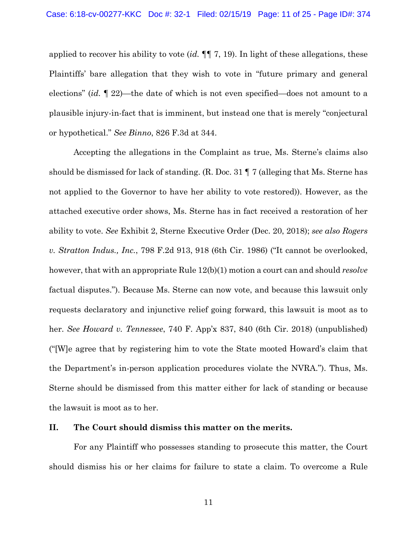applied to recover his ability to vote (*id.* ¶¶ 7, 19). In light of these allegations, these Plaintiffs' bare allegation that they wish to vote in "future primary and general elections" (*id.* ¶ 22)—the date of which is not even specified—does not amount to a plausible injury-in-fact that is imminent, but instead one that is merely "conjectural or hypothetical." *See Binno*, 826 F.3d at 344.

Accepting the allegations in the Complaint as true, Ms. Sterne's claims also should be dismissed for lack of standing. (R. Doc. 31 ¶ 7 (alleging that Ms. Sterne has not applied to the Governor to have her ability to vote restored)). However, as the attached executive order shows, Ms. Sterne has in fact received a restoration of her ability to vote. *See* Exhibit 2, Sterne Executive Order (Dec. 20, 2018); *see also Rogers v. Stratton Indus., Inc.*, 798 F.2d 913, 918 (6th Cir. 1986) ("It cannot be overlooked, however, that with an appropriate Rule 12(b)(1) motion a court can and should *resolve* factual disputes."). Because Ms. Sterne can now vote, and because this lawsuit only requests declaratory and injunctive relief going forward, this lawsuit is moot as to her. *See Howard v. Tennessee*, 740 F. App'x 837, 840 (6th Cir. 2018) (unpublished) ("[W]e agree that by registering him to vote the State mooted Howard's claim that the Department's in-person application procedures violate the NVRA."). Thus, Ms. Sterne should be dismissed from this matter either for lack of standing or because the lawsuit is moot as to her.

## **II. The Court should dismiss this matter on the merits.**

For any Plaintiff who possesses standing to prosecute this matter, the Court should dismiss his or her claims for failure to state a claim. To overcome a Rule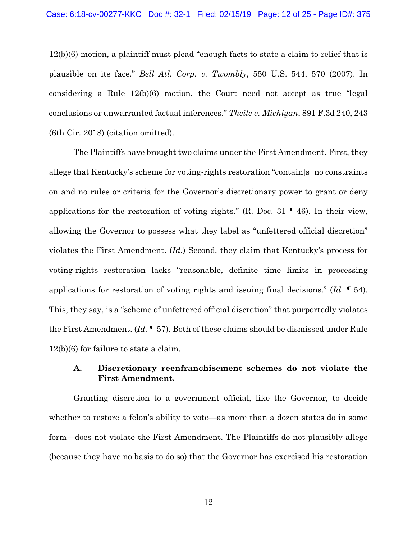12(b)(6) motion, a plaintiff must plead "enough facts to state a claim to relief that is plausible on its face." *Bell Atl. Corp. v. Twombly*, 550 U.S. 544, 570 (2007). In considering a Rule 12(b)(6) motion, the Court need not accept as true "legal conclusions or unwarranted factual inferences." *Theile v. Michigan*, 891 F.3d 240, 243 (6th Cir. 2018) (citation omitted).

The Plaintiffs have brought two claims under the First Amendment. First, they allege that Kentucky's scheme for voting-rights restoration "contain[s] no constraints on and no rules or criteria for the Governor's discretionary power to grant or deny applications for the restoration of voting rights." (R. Doc. 31 ¶ 46). In their view, allowing the Governor to possess what they label as "unfettered official discretion" violates the First Amendment. (*Id.*) Second, they claim that Kentucky's process for voting-rights restoration lacks "reasonable, definite time limits in processing applications for restoration of voting rights and issuing final decisions." (*Id.* ¶ 54). This, they say, is a "scheme of unfettered official discretion" that purportedly violates the First Amendment. (*Id.* ¶ 57). Both of these claims should be dismissed under Rule 12(b)(6) for failure to state a claim.

# **A. Discretionary reenfranchisement schemes do not violate the First Amendment.**

Granting discretion to a government official, like the Governor, to decide whether to restore a felon's ability to vote—as more than a dozen states do in some form—does not violate the First Amendment. The Plaintiffs do not plausibly allege (because they have no basis to do so) that the Governor has exercised his restoration

12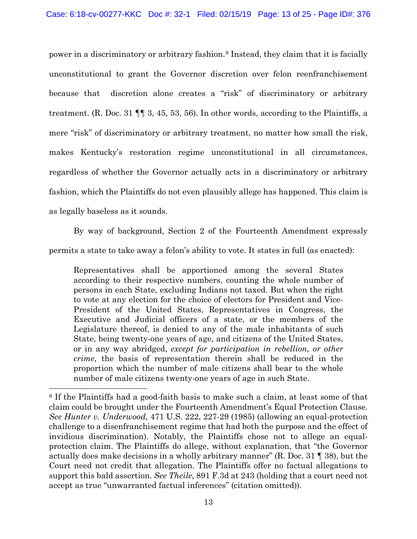power in a discriminatory or arbitrary fashion.[8](#page-12-0) Instead, they claim that it is facially unconstitutional to grant the Governor discretion over felon reenfranchisement because that discretion alone creates a "risk" of discriminatory or arbitrary treatment. (R. Doc. 31 ¶¶ 3, 45, 53, 56). In other words, according to the Plaintiffs, a mere "risk" of discriminatory or arbitrary treatment, no matter how small the risk, makes Kentucky's restoration regime unconstitutional in all circumstances, regardless of whether the Governor actually acts in a discriminatory or arbitrary fashion, which the Plaintiffs do not even plausibly allege has happened. This claim is as legally baseless as it sounds.

By way of background, Section 2 of the Fourteenth Amendment expressly permits a state to take away a felon's ability to vote. It states in full (as enacted):

Representatives shall be apportioned among the several States according to their respective numbers, counting the whole number of persons in each State, excluding Indians not taxed. But when the right to vote at any election for the choice of electors for President and Vice-President of the United States, Representatives in Congress, the Executive and Judicial officers of a state, or the members of the Legislature thereof, is denied to any of the male inhabitants of such State, being twenty-one years of age, and citizens of the United States, or in any way abridged, *except for participation in rebellion, or other crime*, the basis of representation therein shall be reduced in the proportion which the number of male citizens shall bear to the whole number of male citizens twenty-one years of age in such State.

<span id="page-12-0"></span><sup>8</sup> If the Plaintiffs had a good-faith basis to make such a claim, at least some of that claim could be brought under the Fourteenth Amendment's Equal Protection Clause. *See Hunter v. Underwood*, 471 U.S. 222, 227-29 (1985) (allowing an equal-protection challenge to a disenfranchisement regime that had both the purpose and the effect of invidious discrimination). Notably, the Plaintiffs chose not to allege an equalprotection claim. The Plaintiffs do allege, without explanation, that "the Governor actually does make decisions in a wholly arbitrary manner" (R. Doc. 31 ¶ 38), but the Court need not credit that allegation. The Plaintiffs offer no factual allegations to support this bald assertion. *See Theile*, 891 F.3d at 243 (holding that a court need not accept as true "unwarranted factual inferences" (citation omitted)).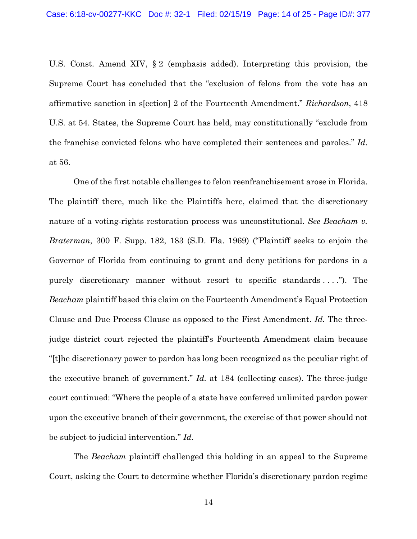U.S. Const. Amend XIV, § 2 (emphasis added). Interpreting this provision, the Supreme Court has concluded that the "exclusion of felons from the vote has an affirmative sanction in s[ection] 2 of the Fourteenth Amendment." *Richardson*, 418 U.S. at 54. States, the Supreme Court has held, may constitutionally "exclude from the franchise convicted felons who have completed their sentences and paroles." *Id.*  at 56.

One of the first notable challenges to felon reenfranchisement arose in Florida. The plaintiff there, much like the Plaintiffs here, claimed that the discretionary nature of a voting-rights restoration process was unconstitutional. *See Beacham v. Braterman*, 300 F. Supp. 182, 183 (S.D. Fla. 1969) ("Plaintiff seeks to enjoin the Governor of Florida from continuing to grant and deny petitions for pardons in a purely discretionary manner without resort to specific standards . . . ."). The *Beacham* plaintiff based this claim on the Fourteenth Amendment's Equal Protection Clause and Due Process Clause as opposed to the First Amendment. *Id.* The threejudge district court rejected the plaintiff's Fourteenth Amendment claim because "[t]he discretionary power to pardon has long been recognized as the peculiar right of the executive branch of government." *Id.* at 184 (collecting cases). The three-judge court continued: "Where the people of a state have conferred unlimited pardon power upon the executive branch of their government, the exercise of that power should not be subject to judicial intervention." *Id.*

The *Beacham* plaintiff challenged this holding in an appeal to the Supreme Court, asking the Court to determine whether Florida's discretionary pardon regime

14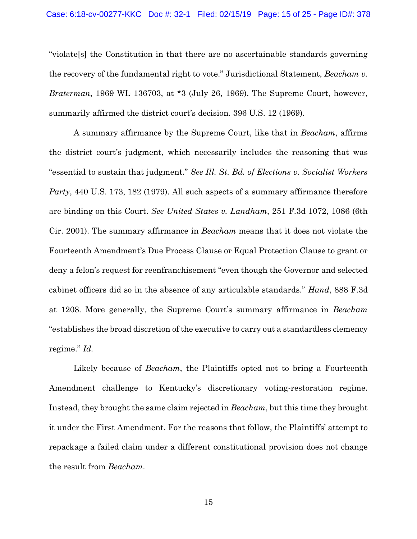"violate[s] the Constitution in that there are no ascertainable standards governing the recovery of the fundamental right to vote." Jurisdictional Statement, *Beacham v. Braterman*, 1969 WL 136703, at \*3 (July 26, 1969). The Supreme Court, however, summarily affirmed the district court's decision. 396 U.S. 12 (1969).

A summary affirmance by the Supreme Court, like that in *Beacham*, affirms the district court's judgment, which necessarily includes the reasoning that was "essential to sustain that judgment." *See Ill. St. Bd. of Elections v. Socialist Workers Party*, 440 U.S. 173, 182 (1979). All such aspects of a summary affirmance therefore are binding on this Court. *See United States v. Landham*, 251 F.3d 1072, 1086 (6th Cir. 2001). The summary affirmance in *Beacham* means that it does not violate the Fourteenth Amendment's Due Process Clause or Equal Protection Clause to grant or deny a felon's request for reenfranchisement "even though the Governor and selected cabinet officers did so in the absence of any articulable standards." *Hand*, 888 F.3d at 1208. More generally, the Supreme Court's summary affirmance in *Beacham*  "establishes the broad discretion of the executive to carry out a standardless clemency regime." *Id.*

Likely because of *Beacham*, the Plaintiffs opted not to bring a Fourteenth Amendment challenge to Kentucky's discretionary voting-restoration regime. Instead, they brought the same claim rejected in *Beacham*, but this time they brought it under the First Amendment. For the reasons that follow, the Plaintiffs' attempt to repackage a failed claim under a different constitutional provision does not change the result from *Beacham*.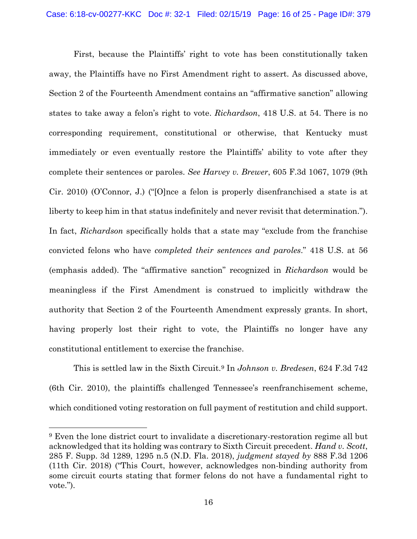First, because the Plaintiffs' right to vote has been constitutionally taken away, the Plaintiffs have no First Amendment right to assert. As discussed above, Section 2 of the Fourteenth Amendment contains an "affirmative sanction" allowing states to take away a felon's right to vote. *Richardson*, 418 U.S. at 54. There is no corresponding requirement, constitutional or otherwise, that Kentucky must immediately or even eventually restore the Plaintiffs' ability to vote after they complete their sentences or paroles. *See Harvey v. Brewer*, 605 F.3d 1067, 1079 (9th Cir. 2010) (O'Connor, J.) ("[O]nce a felon is properly disenfranchised a state is at liberty to keep him in that status indefinitely and never revisit that determination."). In fact, *Richardson* specifically holds that a state may "exclude from the franchise convicted felons who have *completed their sentences and paroles*." 418 U.S. at 56 (emphasis added). The "affirmative sanction" recognized in *Richardson* would be meaningless if the First Amendment is construed to implicitly withdraw the authority that Section 2 of the Fourteenth Amendment expressly grants. In short, having properly lost their right to vote, the Plaintiffs no longer have any constitutional entitlement to exercise the franchise.

This is settled law in the Sixth Circuit.[9](#page-15-0) In *Johnson v. Bredesen*, 624 F.3d 742 (6th Cir. 2010), the plaintiffs challenged Tennessee's reenfranchisement scheme, which conditioned voting restoration on full payment of restitution and child support.

<span id="page-15-0"></span><sup>9</sup> Even the lone district court to invalidate a discretionary-restoration regime all but acknowledged that its holding was contrary to Sixth Circuit precedent. *Hand v. Scott*, 285 F. Supp. 3d 1289, 1295 n.5 (N.D. Fla. 2018), *judgment stayed by* 888 F.3d 1206 (11th Cir. 2018) ("This Court, however, acknowledges non-binding authority from some circuit courts stating that former felons do not have a fundamental right to vote.").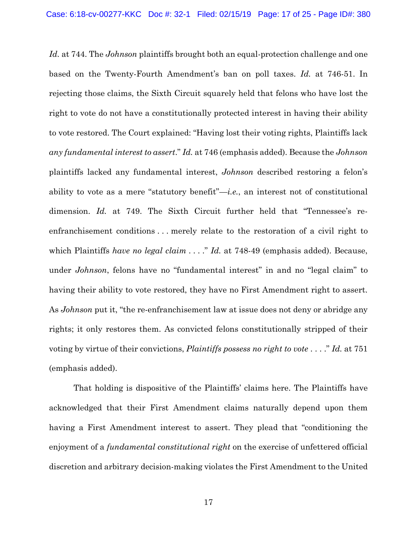*Id.* at 744. The *Johnson* plaintiffs brought both an equal-protection challenge and one based on the Twenty-Fourth Amendment's ban on poll taxes. *Id.* at 746-51. In rejecting those claims, the Sixth Circuit squarely held that felons who have lost the right to vote do not have a constitutionally protected interest in having their ability to vote restored. The Court explained: "Having lost their voting rights, Plaintiffs lack *any fundamental interest to assert*." *Id.* at 746 (emphasis added). Because the *Johnson*  plaintiffs lacked any fundamental interest, *Johnson* described restoring a felon's ability to vote as a mere "statutory benefit"—*i.e.*, an interest not of constitutional dimension. *Id.* at 749. The Sixth Circuit further held that "Tennessee's reenfranchisement conditions . . . merely relate to the restoration of a civil right to which Plaintiffs *have no legal claim* . . . ." *Id.* at 748-49 (emphasis added). Because, under *Johnson*, felons have no "fundamental interest" in and no "legal claim" to having their ability to vote restored, they have no First Amendment right to assert. As *Johnson* put it, "the re-enfranchisement law at issue does not deny or abridge any rights; it only restores them. As convicted felons constitutionally stripped of their voting by virtue of their convictions, *Plaintiffs possess no right to vote* . . . ." *Id.* at 751 (emphasis added).

That holding is dispositive of the Plaintiffs' claims here. The Plaintiffs have acknowledged that their First Amendment claims naturally depend upon them having a First Amendment interest to assert. They plead that "conditioning the enjoyment of a *fundamental constitutional right* on the exercise of unfettered official discretion and arbitrary decision-making violates the First Amendment to the United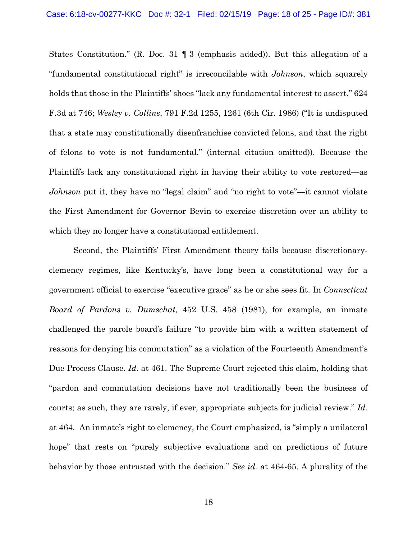States Constitution." (R. Doc. 31 ¶ 3 (emphasis added)). But this allegation of a "fundamental constitutional right" is irreconcilable with *Johnson*, which squarely holds that those in the Plaintiffs' shoes "lack any fundamental interest to assert." 624 F.3d at 746; *Wesley v. Collins*, 791 F.2d 1255, 1261 (6th Cir. 1986) ("It is undisputed that a state may constitutionally disenfranchise convicted felons, and that the right of felons to vote is not fundamental." (internal citation omitted)). Because the Plaintiffs lack any constitutional right in having their ability to vote restored—as *Johnson* put it, they have no "legal claim" and "no right to vote"—it cannot violate the First Amendment for Governor Bevin to exercise discretion over an ability to which they no longer have a constitutional entitlement.

Second, the Plaintiffs' First Amendment theory fails because discretionaryclemency regimes, like Kentucky's, have long been a constitutional way for a government official to exercise "executive grace" as he or she sees fit. In *Connecticut Board of Pardons v. Dumschat*, 452 U.S. 458 (1981), for example, an inmate challenged the parole board's failure "to provide him with a written statement of reasons for denying his commutation" as a violation of the Fourteenth Amendment's Due Process Clause. *Id.* at 461. The Supreme Court rejected this claim, holding that "pardon and commutation decisions have not traditionally been the business of courts; as such, they are rarely, if ever, appropriate subjects for judicial review." *Id.*  at 464. An inmate's right to clemency, the Court emphasized, is "simply a unilateral hope" that rests on "purely subjective evaluations and on predictions of future behavior by those entrusted with the decision." *See id.* at 464-65. A plurality of the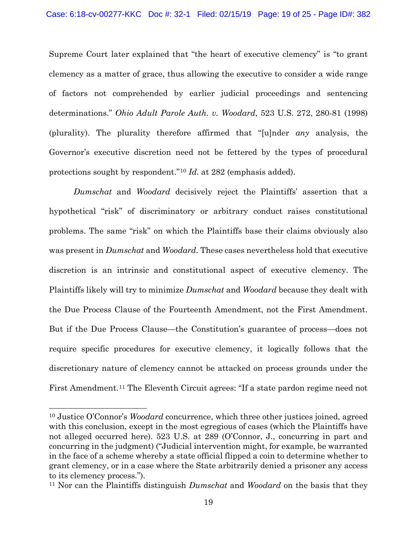Supreme Court later explained that "the heart of executive clemency" is "to grant clemency as a matter of grace, thus allowing the executive to consider a wide range of factors not comprehended by earlier judicial proceedings and sentencing determinations." *Ohio Adult Parole Auth. v. Woodard*, 523 U.S. 272, 280-81 (1998) (plurality). The plurality therefore affirmed that "[u]nder *any* analysis, the Governor's executive discretion need not be fettered by the types of procedural protections sought by respondent."[10](#page-18-0) *Id.* at 282 (emphasis added).

*Dumschat* and *Woodard* decisively reject the Plaintiffs' assertion that a hypothetical "risk" of discriminatory or arbitrary conduct raises constitutional problems. The same "risk" on which the Plaintiffs base their claims obviously also was present in *Dumschat* and *Woodard*. These cases nevertheless hold that executive discretion is an intrinsic and constitutional aspect of executive clemency. The Plaintiffs likely will try to minimize *Dumschat* and *Woodard* because they dealt with the Due Process Clause of the Fourteenth Amendment, not the First Amendment. But if the Due Process Clause—the Constitution's guarantee of process—does not require specific procedures for executive clemency, it logically follows that the discretionary nature of clemency cannot be attacked on process grounds under the First Amendment.<sup>[11](#page-18-1)</sup> The Eleventh Circuit agrees: "If a state pardon regime need not

<span id="page-18-0"></span><sup>10</sup> Justice O'Connor's *Woodard* concurrence, which three other justices joined, agreed with this conclusion, except in the most egregious of cases (which the Plaintiffs have not alleged occurred here). 523 U.S. at 289 (O'Connor, J., concurring in part and concurring in the judgment) ("Judicial intervention might, for example, be warranted in the face of a scheme whereby a state official flipped a coin to determine whether to grant clemency, or in a case where the State arbitrarily denied a prisoner any access to its clemency process.").

<span id="page-18-1"></span><sup>11</sup> Nor can the Plaintiffs distinguish *Dumschat* and *Woodard* on the basis that they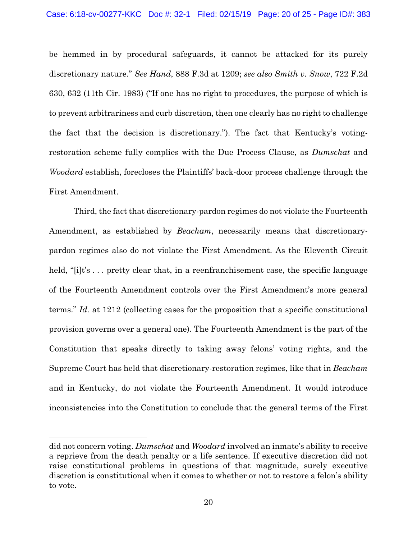be hemmed in by procedural safeguards, it cannot be attacked for its purely discretionary nature." *See Hand*, 888 F.3d at 1209; *see also Smith v. Snow*, 722 F.2d 630, 632 (11th Cir. 1983) ("If one has no right to procedures, the purpose of which is to prevent arbitrariness and curb discretion, then one clearly has no right to challenge the fact that the decision is discretionary."). The fact that Kentucky's votingrestoration scheme fully complies with the Due Process Clause, as *Dumschat* and *Woodard* establish, forecloses the Plaintiffs' back-door process challenge through the First Amendment.

Third, the fact that discretionary-pardon regimes do not violate the Fourteenth Amendment, as established by *Beacham*, necessarily means that discretionarypardon regimes also do not violate the First Amendment. As the Eleventh Circuit held, "[i]t's ... pretty clear that, in a reenfranchisement case, the specific language of the Fourteenth Amendment controls over the First Amendment's more general terms." *Id.* at 1212 (collecting cases for the proposition that a specific constitutional provision governs over a general one). The Fourteenth Amendment is the part of the Constitution that speaks directly to taking away felons' voting rights, and the Supreme Court has held that discretionary-restoration regimes, like that in *Beacham* and in Kentucky, do not violate the Fourteenth Amendment. It would introduce inconsistencies into the Constitution to conclude that the general terms of the First

did not concern voting. *Dumschat* and *Woodard* involved an inmate's ability to receive a reprieve from the death penalty or a life sentence. If executive discretion did not raise constitutional problems in questions of that magnitude, surely executive discretion is constitutional when it comes to whether or not to restore a felon's ability to vote.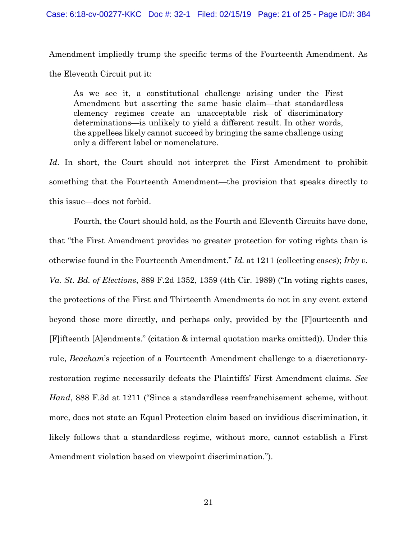Amendment impliedly trump the specific terms of the Fourteenth Amendment. As the Eleventh Circuit put it:

As we see it, a constitutional challenge arising under the First Amendment but asserting the same basic claim—that standardless clemency regimes create an unacceptable risk of discriminatory determinations—is unlikely to yield a different result. In other words, the appellees likely cannot succeed by bringing the same challenge using only a different label or nomenclature.

*Id.* In short, the Court should not interpret the First Amendment to prohibit something that the Fourteenth Amendment—the provision that speaks directly to this issue—does not forbid.

Fourth, the Court should hold, as the Fourth and Eleventh Circuits have done, that "the First Amendment provides no greater protection for voting rights than is otherwise found in the Fourteenth Amendment." *Id.* at 1211 (collecting cases); *Irby v. Va. St. Bd. of Elections*, 889 F.2d 1352, 1359 (4th Cir. 1989) ("In voting rights cases, the protections of the First and Thirteenth Amendments do not in any event extend beyond those more directly, and perhaps only, provided by the [F]ourteenth and [F]ifteenth [A]endments." (citation & internal quotation marks omitted)). Under this rule, *Beacham*'s rejection of a Fourteenth Amendment challenge to a discretionaryrestoration regime necessarily defeats the Plaintiffs' First Amendment claims. *See Hand*, 888 F.3d at 1211 ("Since a standardless reenfranchisement scheme, without more, does not state an Equal Protection claim based on invidious discrimination, it likely follows that a standardless regime, without more, cannot establish a First Amendment violation based on viewpoint discrimination.").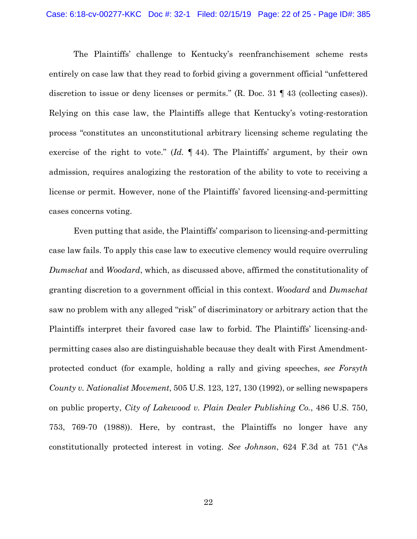The Plaintiffs' challenge to Kentucky's reenfranchisement scheme rests entirely on case law that they read to forbid giving a government official "unfettered discretion to issue or deny licenses or permits." (R. Doc. 31 ¶ 43 (collecting cases)). Relying on this case law, the Plaintiffs allege that Kentucky's voting-restoration process "constitutes an unconstitutional arbitrary licensing scheme regulating the exercise of the right to vote." (*Id.* ¶ 44). The Plaintiffs' argument, by their own admission, requires analogizing the restoration of the ability to vote to receiving a license or permit. However, none of the Plaintiffs' favored licensing-and-permitting cases concerns voting.

Even putting that aside, the Plaintiffs' comparison to licensing-and-permitting case law fails. To apply this case law to executive clemency would require overruling *Dumschat* and *Woodard*, which, as discussed above, affirmed the constitutionality of granting discretion to a government official in this context. *Woodard* and *Dumschat* saw no problem with any alleged "risk" of discriminatory or arbitrary action that the Plaintiffs interpret their favored case law to forbid. The Plaintiffs' licensing-andpermitting cases also are distinguishable because they dealt with First Amendmentprotected conduct (for example, holding a rally and giving speeches, *see Forsyth County v. Nationalist Movement*, 505 U.S. 123, 127, 130 (1992), or selling newspapers on public property, *City of Lakewood v. Plain Dealer Publishing Co.*, 486 U.S. 750, 753, 769-70 (1988)). Here, by contrast, the Plaintiffs no longer have any constitutionally protected interest in voting. *See Johnson*, 624 F.3d at 751 ("As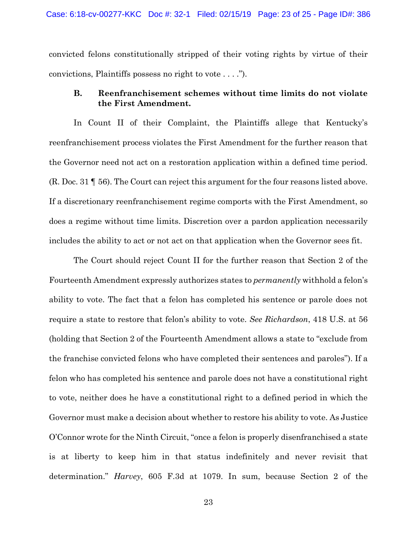convicted felons constitutionally stripped of their voting rights by virtue of their convictions, Plaintiffs possess no right to vote . . . .").

# **B. Reenfranchisement schemes without time limits do not violate the First Amendment.**

In Count II of their Complaint, the Plaintiffs allege that Kentucky's reenfranchisement process violates the First Amendment for the further reason that the Governor need not act on a restoration application within a defined time period. (R. Doc. 31 ¶ 56). The Court can reject this argument for the four reasons listed above. If a discretionary reenfranchisement regime comports with the First Amendment, so does a regime without time limits. Discretion over a pardon application necessarily includes the ability to act or not act on that application when the Governor sees fit.

The Court should reject Count II for the further reason that Section 2 of the Fourteenth Amendment expressly authorizes states to *permanently* withhold a felon's ability to vote. The fact that a felon has completed his sentence or parole does not require a state to restore that felon's ability to vote. *See Richardson*, 418 U.S. at 56 (holding that Section 2 of the Fourteenth Amendment allows a state to "exclude from the franchise convicted felons who have completed their sentences and paroles"). If a felon who has completed his sentence and parole does not have a constitutional right to vote, neither does he have a constitutional right to a defined period in which the Governor must make a decision about whether to restore his ability to vote. As Justice O'Connor wrote for the Ninth Circuit, "once a felon is properly disenfranchised a state is at liberty to keep him in that status indefinitely and never revisit that determination." *Harvey*, 605 F.3d at 1079. In sum, because Section 2 of the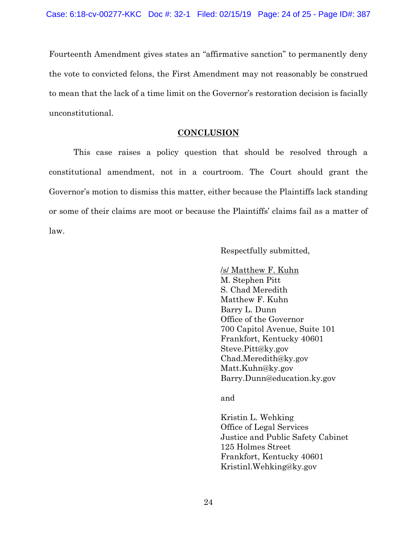Fourteenth Amendment gives states an "affirmative sanction" to permanently deny the vote to convicted felons, the First Amendment may not reasonably be construed to mean that the lack of a time limit on the Governor's restoration decision is facially unconstitutional.

## **CONCLUSION**

This case raises a policy question that should be resolved through a constitutional amendment, not in a courtroom. The Court should grant the Governor's motion to dismiss this matter, either because the Plaintiffs lack standing or some of their claims are moot or because the Plaintiffs' claims fail as a matter of law.

Respectfully submitted,

/s/ Matthew F. Kuhn M. Stephen Pitt S. Chad Meredith Matthew F. Kuhn Barry L. Dunn Office of the Governor 700 Capitol Avenue, Suite 101 Frankfort, Kentucky 40601 Steve.Pitt@ky.gov Chad.Meredith@ky.gov Matt.Kuhn@ky.gov Barry.Dunn@education.ky.gov

and

Kristin L. Wehking Office of Legal Services Justice and Public Safety Cabinet 125 Holmes Street Frankfort, Kentucky 40601 Kristinl.Wehking@ky.gov